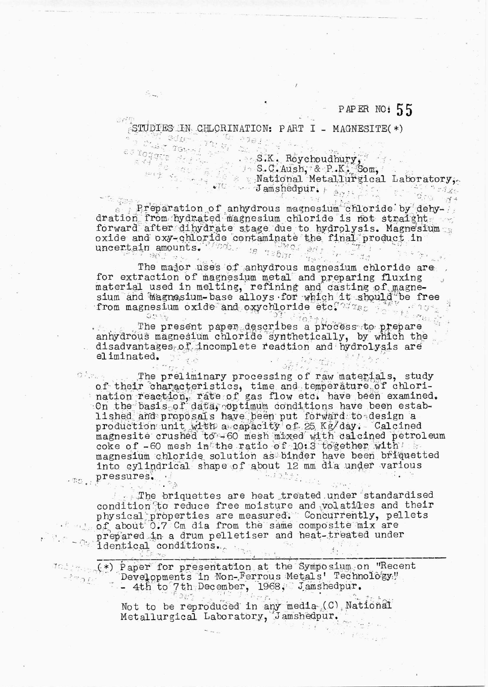## PAPER NO: 55

STUDIES IN CHLORINATION: PART I - MAGNESITE(\*)

 $5 -$ 

Preparation of anhydrous magnesium chloride by dehyforward after dihydrate stage due to hydrolysis. Magnesium

The major uses of anhydrous magnesium chloride are for extraction of magnesium metal and preparing fluxing material used in melting, refining and casting of magne-<br>sium and magnesium-base alloys for which it should be free<br>from magnesium oxide and oxychloride etc. we artes r  $O(2\sqrt{3})$ 

 $01 + 70 + t$ The present paper describes a process to prepare anhydrous magnesium chloride synthetically, by which the disadvantages of incomplete readtion and hydrolysis are eliminated.  $\mathcal{D}(\mathcal{C})$ あさすりよう  $\mathbb{Z}^*$ 

The preliminary processing of raw materials, study  $O(\lambda_{\rm crit})$ of their characteristics, time and temperature of chlorination reaction, rate of gas flow etc. have been examined. On the basis of data, optimum conditions have been established and proposals have been put forward to design a production unit with a capacity of 25 Kg/day. Calcined magnesite crushed to -60 mesh mixed with calcined petroleum coke of -60 mesh in the ratio of 10:3 together with the magnesium chloride solution as binder have been briquetted into cylindrical shape of about 12 mm dia under various . pressures.  $\ldots$   $\ldots$   $\sum f$ 

The briquettes are heat treated under standardised condition to reduce free moisture and volatiles and their physical properties are measured. Concurrently, pellets prepared in a drum pelletiser and heat-treated under<br>identical conditions.

<sup>102</sup> (\*) Paper for presentation at the Symposium on "Recent"<br>Developments in Non-Ferrous Metals' Technology," Developments in Non-Ferrous Metals' Technology,"  $\sim$   $\frac{1}{2}$  mang  $\frac{1}{2}$  and  $\frac{1}{2}$ - 4th to 7th December, 1968, Jamshedpur.

 $\Im \psi +$  $\psi$  re  $T$  . Not to be reproduced in any media (C) National Metallurgical Laboratory, Jamshedpur.